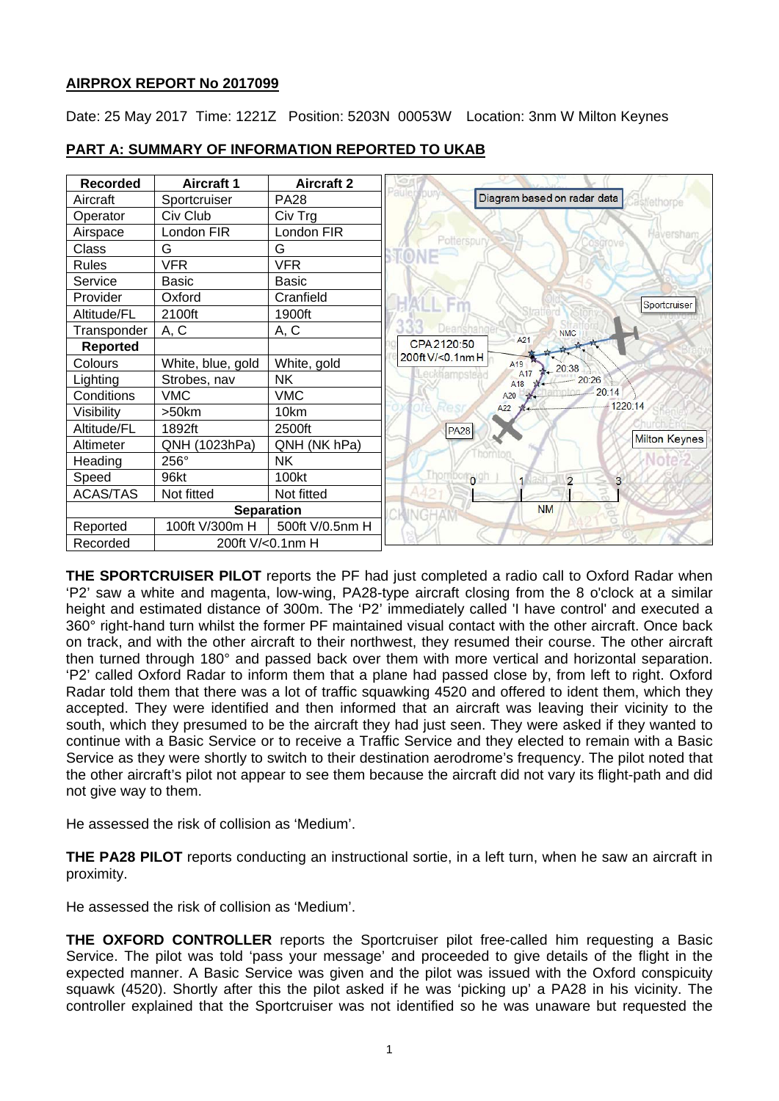# **AIRPROX REPORT No 2017099**

Date: 25 May 2017 Time: 1221Z Position: 5203N 00053W Location: 3nm W Milton Keynes



# **PART A: SUMMARY OF INFORMATION REPORTED TO UKAB**

**THE SPORTCRUISER PILOT** reports the PF had just completed a radio call to Oxford Radar when 'P2' saw a white and magenta, low-wing, PA28-type aircraft closing from the 8 o'clock at a similar height and estimated distance of 300m. The 'P2' immediately called 'I have control' and executed a 360° right-hand turn whilst the former PF maintained visual contact with the other aircraft. Once back on track, and with the other aircraft to their northwest, they resumed their course. The other aircraft then turned through 180° and passed back over them with more vertical and horizontal separation. 'P2' called Oxford Radar to inform them that a plane had passed close by, from left to right. Oxford Radar told them that there was a lot of traffic squawking 4520 and offered to ident them, which they accepted. They were identified and then informed that an aircraft was leaving their vicinity to the south, which they presumed to be the aircraft they had just seen. They were asked if they wanted to continue with a Basic Service or to receive a Traffic Service and they elected to remain with a Basic Service as they were shortly to switch to their destination aerodrome's frequency. The pilot noted that the other aircraft's pilot not appear to see them because the aircraft did not vary its flight-path and did not give way to them.

He assessed the risk of collision as 'Medium'.

**THE PA28 PILOT** reports conducting an instructional sortie, in a left turn, when he saw an aircraft in proximity.

He assessed the risk of collision as 'Medium'.

**THE OXFORD CONTROLLER** reports the Sportcruiser pilot free-called him requesting a Basic Service. The pilot was told 'pass your message' and proceeded to give details of the flight in the expected manner. A Basic Service was given and the pilot was issued with the Oxford conspicuity squawk (4520). Shortly after this the pilot asked if he was 'picking up' a PA28 in his vicinity. The controller explained that the Sportcruiser was not identified so he was unaware but requested the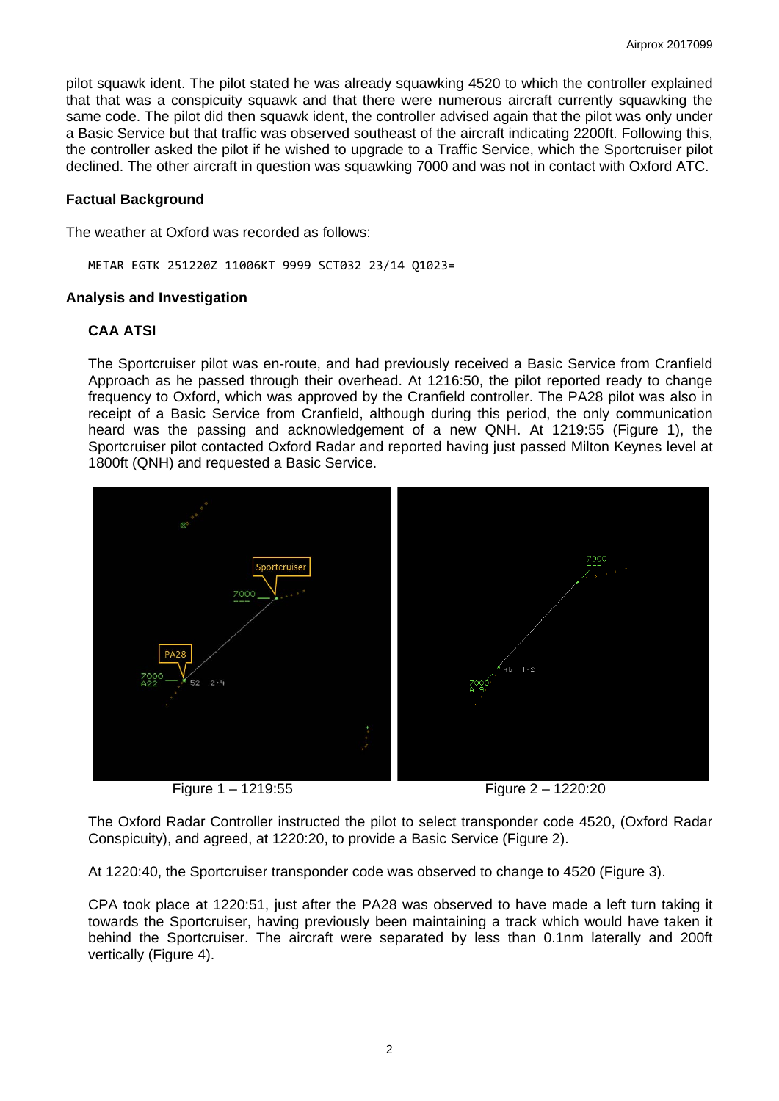pilot squawk ident. The pilot stated he was already squawking 4520 to which the controller explained that that was a conspicuity squawk and that there were numerous aircraft currently squawking the same code. The pilot did then squawk ident, the controller advised again that the pilot was only under a Basic Service but that traffic was observed southeast of the aircraft indicating 2200ft. Following this, the controller asked the pilot if he wished to upgrade to a Traffic Service, which the Sportcruiser pilot declined. The other aircraft in question was squawking 7000 and was not in contact with Oxford ATC.

## **Factual Background**

The weather at Oxford was recorded as follows:

METAR EGTK 251220Z 11006KT 9999 SCT032 23/14 Q1023=

#### **Analysis and Investigation**

## **CAA ATSI**

The Sportcruiser pilot was en-route, and had previously received a Basic Service from Cranfield Approach as he passed through their overhead. At 1216:50, the pilot reported ready to change frequency to Oxford, which was approved by the Cranfield controller. The PA28 pilot was also in receipt of a Basic Service from Cranfield, although during this period, the only communication heard was the passing and acknowledgement of a new QNH. At 1219:55 (Figure 1), the Sportcruiser pilot contacted Oxford Radar and reported having just passed Milton Keynes level at 1800ft (QNH) and requested a Basic Service.



Figure 1 – 1219:55 Figure 2 – 1220:20

The Oxford Radar Controller instructed the pilot to select transponder code 4520, (Oxford Radar Conspicuity), and agreed, at 1220:20, to provide a Basic Service (Figure 2).

At 1220:40, the Sportcruiser transponder code was observed to change to 4520 (Figure 3).

CPA took place at 1220:51, just after the PA28 was observed to have made a left turn taking it towards the Sportcruiser, having previously been maintaining a track which would have taken it behind the Sportcruiser. The aircraft were separated by less than 0.1nm laterally and 200ft vertically (Figure 4).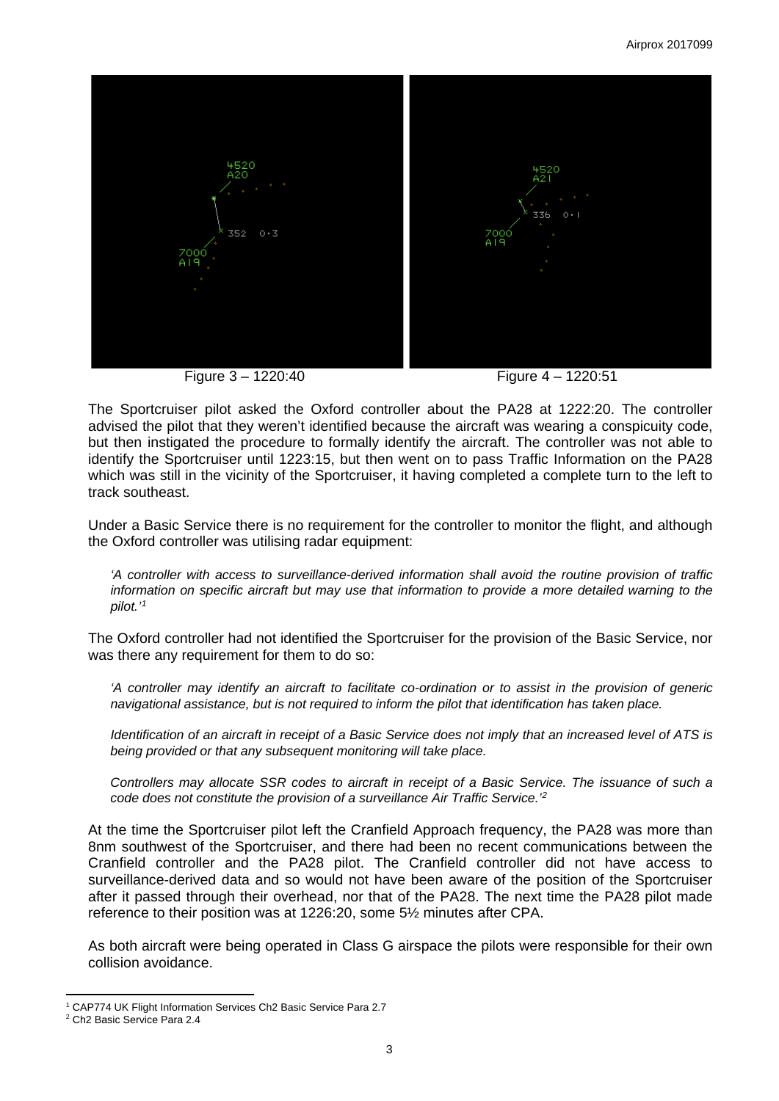

Figure 3 – 1220:40 Figure 4 – 1220:51



The Sportcruiser pilot asked the Oxford controller about the PA28 at 1222:20. The controller advised the pilot that they weren't identified because the aircraft was wearing a conspicuity code, but then instigated the procedure to formally identify the aircraft. The controller was not able to identify the Sportcruiser until 1223:15, but then went on to pass Traffic Information on the PA28 which was still in the vicinity of the Sportcruiser, it having completed a complete turn to the left to track southeast.

Under a Basic Service there is no requirement for the controller to monitor the flight, and although the Oxford controller was utilising radar equipment:

*'A controller with access to surveillance-derived information shall avoid the routine provision of traffic information on specific aircraft but may use that information to provide a more detailed warning to the pilot.' [1](#page-2-0)* 

The Oxford controller had not identified the Sportcruiser for the provision of the Basic Service, nor was there any requirement for them to do so:

*'A controller may identify an aircraft to facilitate co-ordination or to assist in the provision of generic navigational assistance, but is not required to inform the pilot that identification has taken place.* 

*Identification of an aircraft in receipt of a Basic Service does not imply that an increased level of ATS is being provided or that any subsequent monitoring will take place.* 

*Controllers may allocate SSR codes to aircraft in receipt of a Basic Service. The issuance of such a code does not constitute the provision of a surveillance Air Traffic Service.'[2](#page-2-1)*

At the time the Sportcruiser pilot left the Cranfield Approach frequency, the PA28 was more than 8nm southwest of the Sportcruiser, and there had been no recent communications between the Cranfield controller and the PA28 pilot. The Cranfield controller did not have access to surveillance-derived data and so would not have been aware of the position of the Sportcruiser after it passed through their overhead, nor that of the PA28. The next time the PA28 pilot made reference to their position was at 1226:20, some 5½ minutes after CPA.

As both aircraft were being operated in Class G airspace the pilots were responsible for their own collision avoidance.

 $\overline{a}$ 1 CAP774 UK Flight Information Services Ch2 Basic Service Para 2.7

<span id="page-2-1"></span><span id="page-2-0"></span><sup>2</sup> Ch2 Basic Service Para 2.4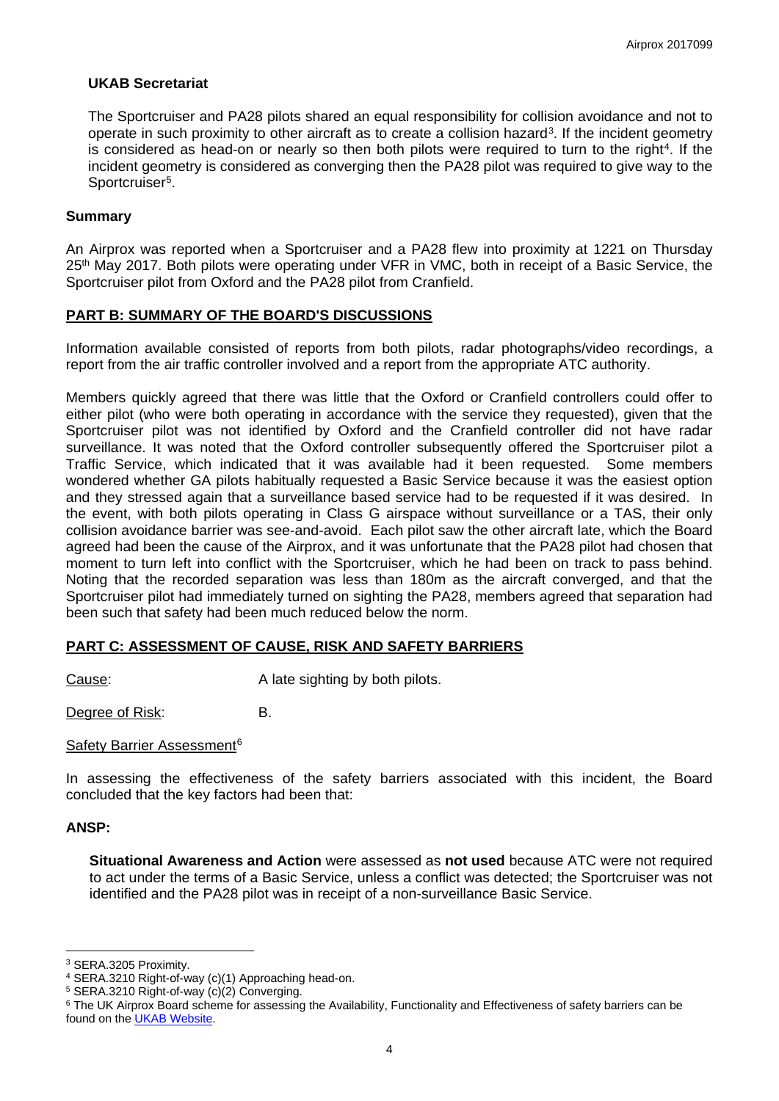## **UKAB Secretariat**

The Sportcruiser and PA28 pilots shared an equal responsibility for collision avoidance and not to operate in such proximity to other aircraft as to create a collision hazard[3](#page-3-0). If the incident geometry is considered as head-on or nearly so then both pilots were required to turn to the right<sup>4</sup>. If the incident geometry is considered as converging then the PA28 pilot was required to give way to the Sportcruiser<sup>[5](#page-3-2)</sup>.

## **Summary**

An Airprox was reported when a Sportcruiser and a PA28 flew into proximity at 1221 on Thursday 25<sup>th</sup> May 2017. Both pilots were operating under VFR in VMC, both in receipt of a Basic Service, the Sportcruiser pilot from Oxford and the PA28 pilot from Cranfield.

## **PART B: SUMMARY OF THE BOARD'S DISCUSSIONS**

Information available consisted of reports from both pilots, radar photographs/video recordings, a report from the air traffic controller involved and a report from the appropriate ATC authority.

Members quickly agreed that there was little that the Oxford or Cranfield controllers could offer to either pilot (who were both operating in accordance with the service they requested), given that the Sportcruiser pilot was not identified by Oxford and the Cranfield controller did not have radar surveillance. It was noted that the Oxford controller subsequently offered the Sportcruiser pilot a Traffic Service, which indicated that it was available had it been requested. Some members wondered whether GA pilots habitually requested a Basic Service because it was the easiest option and they stressed again that a surveillance based service had to be requested if it was desired. In the event, with both pilots operating in Class G airspace without surveillance or a TAS, their only collision avoidance barrier was see-and-avoid. Each pilot saw the other aircraft late, which the Board agreed had been the cause of the Airprox, and it was unfortunate that the PA28 pilot had chosen that moment to turn left into conflict with the Sportcruiser, which he had been on track to pass behind. Noting that the recorded separation was less than 180m as the aircraft converged, and that the Sportcruiser pilot had immediately turned on sighting the PA28, members agreed that separation had been such that safety had been much reduced below the norm.

# **PART C: ASSESSMENT OF CAUSE, RISK AND SAFETY BARRIERS**

Cause: Cause: A late sighting by both pilots.

Degree of Risk: B.

#### Safety Barrier Assessment<sup>[6](#page-3-3)</sup>

In assessing the effectiveness of the safety barriers associated with this incident, the Board concluded that the key factors had been that:

#### **ANSP:**

**Situational Awareness and Action** were assessed as **not used** because ATC were not required to act under the terms of a Basic Service, unless a conflict was detected; the Sportcruiser was not identified and the PA28 pilot was in receipt of a non-surveillance Basic Service.

 $\overline{a}$ <sup>3</sup> SERA.3205 Proximity.

<span id="page-3-1"></span><span id="page-3-0"></span><sup>4</sup> SERA.3210 Right-of-way (c)(1) Approaching head-on.

<span id="page-3-2"></span><sup>5</sup> SERA.3210 Right-of-way (c)(2) Converging.

<span id="page-3-3"></span><sup>&</sup>lt;sup>6</sup> The UK Airprox Board scheme for assessing the Availability, Functionality and Effectiveness of safety barriers can be found on the [UKAB Website.](http://www.airproxboard.org.uk/Learn-more/Airprox-Barrier-Assessment/)